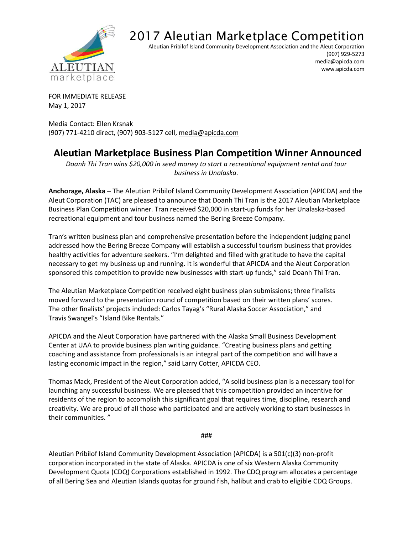

## 2017 Aleutian Marketplace Competition

Aleutian Pribilof Island Community Development Association and the Aleut Corporation

(907) 929-5273 media@apicda.com www.apicda.com

FOR IMMEDIATE RELEASE May 1, 2017

Media Contact: Ellen Krsnak (907) 771-4210 direct, (907) 903-5127 cell, [media@apicda.com](mailto:media@apicda.com)

## **Aleutian Marketplace Business Plan Competition Winner Announced**

*Doanh Thi Tran wins \$20,000 in seed money to start a recreational equipment rental and tour business in Unalaska.* 

**Anchorage, Alaska –** The Aleutian Pribilof Island Community Development Association (APICDA) and the Aleut Corporation (TAC) are pleased to announce that Doanh Thi Tran is the 2017 Aleutian Marketplace Business Plan Competition winner. Tran received \$20,000 in start-up funds for her Unalaska-based recreational equipment and tour business named the Bering Breeze Company.

Tran's written business plan and comprehensive presentation before the independent judging panel addressed how the Bering Breeze Company will establish a successful tourism business that provides healthy activities for adventure seekers. "I'm delighted and filled with gratitude to have the capital necessary to get my business up and running. It is wonderful that APICDA and the Aleut Corporation sponsored this competition to provide new businesses with start-up funds," said Doanh Thi Tran.

The Aleutian Marketplace Competition received eight business plan submissions; three finalists moved forward to the presentation round of competition based on their written plans' scores. The other finalists' projects included: Carlos Tayag's "Rural Alaska Soccer Association," and Travis Swangel's "Island Bike Rentals."

APICDA and the Aleut Corporation have partnered with the Alaska Small Business Development Center at UAA to provide business plan writing guidance. "Creating business plans and getting coaching and assistance from professionals is an integral part of the competition and will have a lasting economic impact in the region," said Larry Cotter, APICDA CEO.

Thomas Mack, President of the Aleut Corporation added, "A solid business plan is a necessary tool for launching any successful business. We are pleased that this competition provided an incentive for residents of the region to accomplish this significant goal that requires time, discipline, research and creativity. We are proud of all those who participated and are actively working to start businesses in their communities. "

###

Aleutian Pribilof Island Community Development Association (APICDA) is a 501(c)(3) non-profit corporation incorporated in the state of Alaska. APICDA is one of six Western Alaska Community Development Quota (CDQ) Corporations established in 1992. The CDQ program allocates a percentage of all Bering Sea and Aleutian Islands quotas for ground fish, halibut and crab to eligible CDQ Groups.